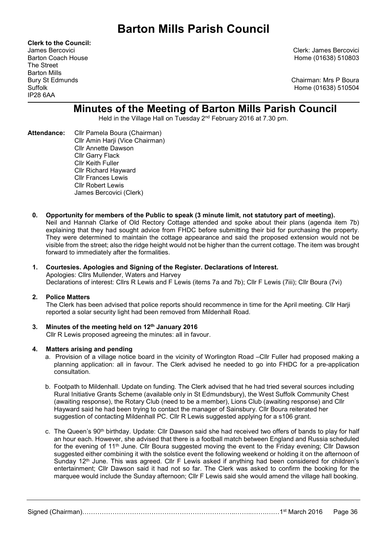Clerk to the Council: The Street Barton Mills IP28 6AA

James Bercovici Clerk: James Bercovici Barton Coach House **Home (01638)** 510803

Bury St Edmunds Chairman: Mrs P Boura Suffolk Home (01638) 510504

# Minutes of the Meeting of Barton Mills Parish Council

Held in the Village Hall on Tuesday 2nd February 2016 at 7.30 pm.

- Attendance: Cllr Pamela Boura (Chairman) Cllr Amin Harji (Vice Chairman) Cllr Annette Dawson Cllr Garry Flack Cllr Keith Fuller Cllr Richard Hayward Cllr Frances Lewis Cllr Robert Lewis James Bercovici (Clerk)
	- 0. Opportunity for members of the Public to speak (3 minute limit, not statutory part of meeting). Neil and Hannah Clarke of Old Rectory Cottage attended and spoke about their plans (agenda item 7b) explaining that they had sought advice from FHDC before submitting their bid for purchasing the property. They were determined to maintain the cottage appearance and said the proposed extension would not be visible from the street; also the ridge height would not be higher than the current cottage. The item was brought forward to immediately after the formalities.

#### 1. Courtesies. Apologies and Signing of the Register. Declarations of Interest. Apologies: Cllrs Mullender, Waters and Harvey Declarations of interest: Cllrs R Lewis and F Lewis (items 7a and 7b); Cllr F Lewis (7iii); Cllr Boura (7vi)

## 2. Police Matters

The Clerk has been advised that police reports should recommence in time for the April meeting. Cllr Harji reported a solar security light had been removed from Mildenhall Road.

#### 3. Minutes of the meeting held on  $12<sup>th</sup>$  January 2016 Cllr R Lewis proposed agreeing the minutes: all in favour.

## 4. Matters arising and pending

- a. Provision of a village notice board in the vicinity of Worlington Road –Cllr Fuller had proposed making a planning application: all in favour. The Clerk advised he needed to go into FHDC for a pre-application consultation.
- b. Footpath to Mildenhall. Update on funding. The Clerk advised that he had tried several sources including Rural Initiative Grants Scheme (available only in St Edmundsbury), the West Suffolk Community Chest (awaiting response), the Rotary Club (need to be a member), Lions Club (awaiting response) and Cllr Hayward said he had been trying to contact the manager of Sainsbury. Cllr Boura reiterated her suggestion of contacting Mildenhall PC. Cllr R Lewis suggested applying for a s106 grant.
- c. The Queen's 90th birthday. Update: Cllr Dawson said she had received two offers of bands to play for half an hour each. However, she advised that there is a football match between England and Russia scheduled for the evening of 11<sup>th</sup> June. Cllr Boura suggested moving the event to the Friday evening; Cllr Dawson suggested either combining it with the solstice event the following weekend or holding it on the afternoon of Sunday 12<sup>th</sup> June. This was agreed. Cllr F Lewis asked if anything had been considered for children's entertainment; Cllr Dawson said it had not so far. The Clerk was asked to confirm the booking for the marquee would include the Sunday afternoon; Cllr F Lewis said she would amend the village hall booking.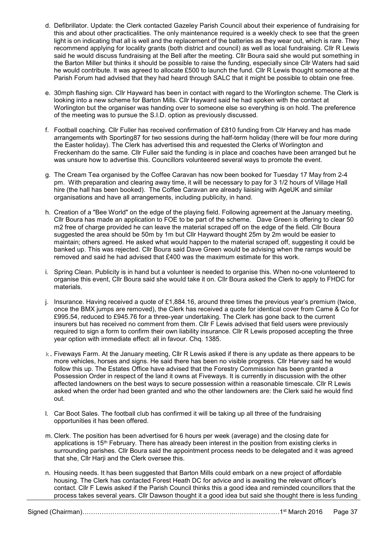- d. Defibrillator. Update: the Clerk contacted Gazeley Parish Council about their experience of fundraising for this and about other practicalities. The only maintenance required is a weekly check to see that the green light is on indicating that all is well and the replacement of the batteries as they wear out, which is rare. They recommend applying for locality grants (both district and council) as well as local fundraising. Cllr R Lewis said he would discuss fundraising at the Bell after the meeting. Cllr Boura said she would put something in the Barton Miller but thinks it should be possible to raise the funding, especially since Cllr Waters had said he would contribute. It was agreed to allocate £500 to launch the fund. Cllr R Lewis thought someone at the Parish Forum had advised that they had heard through SALC that it might be possible to obtain one free.
- e. 30mph flashing sign. Cllr Hayward has been in contact with regard to the Worlington scheme. The Clerk is looking into a new scheme for Barton Mills. Cllr Hayward said he had spoken with the contact at Worlington but the organiser was handing over to someone else so everything is on hold. The preference of the meeting was to pursue the S.I.D. option as previously discussed.
- f. Football coaching. Cllr Fuller has received confirmation of £810 funding from Cllr Harvey and has made arrangements with Sporting87 for two sessions during the half-term holiday (there will be four more during the Easter holiday). The Clerk has advertised this and requested the Clerks of Worlington and Freckenham do the same. Cllr Fuller said the funding is in place and coaches have been arranged but he was unsure how to advertise this. Councillors volunteered several ways to promote the event.
- g. The Cream Tea organised by the Coffee Caravan has now been booked for Tuesday 17 May from 2-4 pm. With preparation and clearing away time, it will be necessary to pay for 3 1/2 hours of Village Hall hire (the hall has been booked). The Coffee Caravan are already liaising with AgeUK and similar organisations and have all arrangements, including publicity, in hand.
- h. Creation of a "Bee World" on the edge of the playing field. Following agreement at the January meeting, Cllr Boura has made an application to FOE to be part of the scheme. Dave Green is offering to clear 50 m2 free of charge provided he can leave the material scraped off on the edge of the field. Cllr Boura suggested the area should be 50m by 1m but Cllr Hayward thought 25m by 2m would be easier to maintain; others agreed. He asked what would happen to the material scraped off, suggesting it could be banked up. This was rejected. Cllr Boura said Dave Green would be advising when the ramps would be removed and said he had advised that £400 was the maximum estimate for this work.
- i. Spring Clean. Publicity is in hand but a volunteer is needed to organise this. When no-one volunteered to organise this event, Cllr Boura said she would take it on. Cllr Boura asked the Clerk to apply to FHDC for materials.
- j. Insurance. Having received a quote of £1,884.16, around three times the previous year's premium (twice, once the BMX jumps are removed), the Clerk has received a quote for identical cover from Came & Co for £995.54, reduced to £945.76 for a three-year undertaking. The Clerk has gone back to the current insurers but has received no comment from them. Cllr F Lewis advised that field users were previously required to sign a form to confirm their own liability insurance. Cllr R Lewis proposed accepting the three year option with immediate effect: all in favour. Chq. 1385.
- k. Fiveways Farm. At the January meeting, Cllr R Lewis asked if there is any update as there appears to be more vehicles, horses and signs. He said there has been no visible progress. Cllr Harvey said he would follow this up. The Estates Office have advised that the Forestry Commission has been granted a Possession Order in respect of the land it owns at Fiveways. It is currently in discussion with the other affected landowners on the best ways to secure possession within a reasonable timescale. Cllr R Lewis asked when the order had been granted and who the other landowners are: the Clerk said he would find out.
- l. Car Boot Sales. The football club has confirmed it will be taking up all three of the fundraising opportunities it has been offered.
- m. Clerk. The position has been advertised for 6 hours per week (average) and the closing date for applications is 15<sup>th</sup> February. There has already been interest in the position from existing clerks in surrounding parishes. Cllr Boura said the appointment process needs to be delegated and it was agreed that she, Cllr Harji and the Clerk oversee this.
- n. Housing needs. It has been suggested that Barton Mills could embark on a new project of affordable housing. The Clerk has contacted Forest Heath DC for advice and is awaiting the relevant officer's contact. Cllr F Lewis asked if the Parish Council thinks this a good idea and reminded councillors that the process takes several years. Cllr Dawson thought it a good idea but said she thought there is less funding

| Signed (Chairman) | March 2016<br>$\overline{1}$ and $\overline{1}$ and $\overline{1}$ | Page 37 |
|-------------------|--------------------------------------------------------------------|---------|
|-------------------|--------------------------------------------------------------------|---------|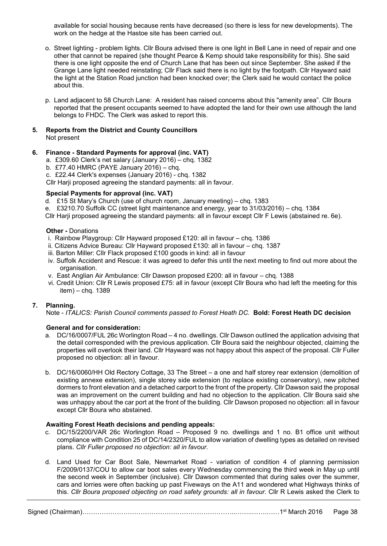available for social housing because rents have decreased (so there is less for new developments). The work on the hedge at the Hastoe site has been carried out.

- o. Street lighting problem lights. Cllr Boura advised there is one light in Bell Lane in need of repair and one other that cannot be repaired (she thought Pearce & Kemp should take responsibility for this). She said there is one light opposite the end of Church Lane that has been out since September. She asked if the Grange Lane light needed reinstating; Cllr Flack said there is no light by the footpath. Cllr Hayward said the light at the Station Road junction had been knocked over; the Clerk said he would contact the police about this.
- p. Land adjacent to 58 Church Lane: A resident has raised concerns about this "amenity area". Cllr Boura reported that the present occupants seemed to have adopted the land for their own use although the land belongs to FHDC. The Clerk was asked to report this.

#### 5. Reports from the District and County Councillors Not present

## 6. Finance - Standard Payments for approval (inc. VAT)

- a. £309.60 Clerk's net salary (January 2016) chq. 1382
- b. £77.40 HMRC (PAYE January 2016) chq.
- c. £22.44 Clerk's expenses (January 2016) chq. 1382

Cllr Harji proposed agreeing the standard payments: all in favour.

## Special Payments for approval (inc. VAT)

d. £15 St Mary's Church (use of church room, January meeting) – chq. 1383

e. £3210.70 Suffolk CC (street light maintenance and energy, year to 31/03/2016) – chq. 1384

Cllr Harji proposed agreeing the standard payments: all in favour except Cllr F Lewis (abstained re. 6e).

#### Other - Donations

- i. Rainbow Playgroup: Cllr Hayward proposed £120: all in favour chq. 1386
- ii. Citizens Advice Bureau: Cllr Hayward proposed £130: all in favour chq. 1387
- iii. Barton Miller: Cllr Flack proposed £100 goods in kind: all in favour
- iv. Suffolk Accident and Rescue: it was agreed to defer this until the next meeting to find out more about the organisation.
- v. East Anglian Air Ambulance: Cllr Dawson proposed £200: all in favour chq. 1388
- vi. Credit Union: Cllr R Lewis proposed £75: all in favour (except Cllr Boura who had left the meeting for this item) – chq. 1389

## 7. Planning.

Note - ITALICS: Parish Council comments passed to Forest Heath DC. Bold: Forest Heath DC decision

## General and for consideration:

- a. DC/16/0007/FUL 26c Worlington Road 4 no. dwellings. Cllr Dawson outlined the application advising that the detail corresponded with the previous application. Cllr Boura said the neighbour objected, claiming the properties will overlook their land. Cllr Hayward was not happy about this aspect of the proposal. Cllr Fuller proposed no objection: all in favour.
- b. DC/16/0060/HH Old Rectory Cottage, 33 The Street a one and half storey rear extension (demolition of existing annexe extension), single storey side extension (to replace existing conservatory), new pitched dormers to front elevation and a detached carport to the front of the property. Cllr Dawson said the proposal was an improvement on the current building and had no objection to the application. Cllr Boura said she was unhappy about the car port at the front of the building. Cllr Dawson proposed no objection: all in favour except Cllr Boura who abstained.

## Awaiting Forest Heath decisions and pending appeals:

- c. DC/15/2200/VAR 26c Worlington Road Proposed 9 no. dwellings and 1 no. B1 office unit without compliance with Condition 25 of DC/14/2320/FUL to allow variation of dwelling types as detailed on revised plans. Cllr Fuller proposed no objection: all in favour.
- d. Land Used for Car Boot Sale, Newmarket Road variation of condition 4 of planning permission F/2009/0137/COU to allow car boot sales every Wednesday commencing the third week in May up until the second week in September (inclusive). Cllr Dawson commented that during sales over the summer, cars and lorries were often backing up past Fiveways on the A11 and wondered what Highways thinks of this. Cllr Boura proposed objecting on road safety grounds: all in favour. Cllr R Lewis asked the Clerk to